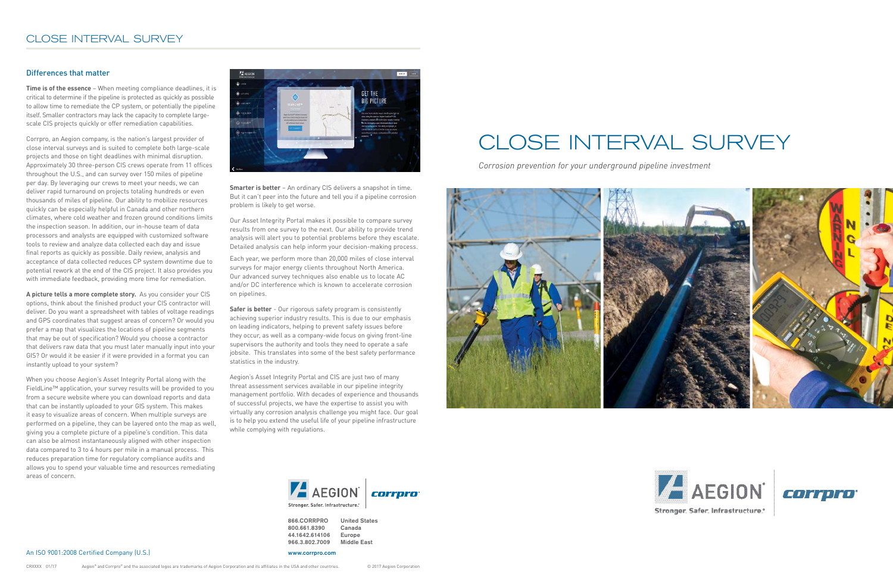**866.CORRPRO United States 800.661.8390 Canada 44.1642.614106 Europe** 966.3.802.7009

**www.corrpro.com**





# CLOSE INTERVAL SURVEY

*Corrosion prevention for your underground pipeline investment*





#### Differences that matter

**Time is of the essence** – When meeting compliance deadlines, it is critical to determine if the pipeline is protected as quickly as possible to allow time to remediate the CP system, or potentially the pipeline itself. Smaller contractors may lack the capacity to complete largescale CIS projects quickly or offer remediation capabilities.

Corrpro, an Aegion company, is the nation's largest provider of close interval surveys and is suited to complete both large-scale projects and those on tight deadlines with minimal disruption. Approximately 30 three-person CIS crews operate from 11 offices throughout the U.S., and can survey over 150 miles of pipeline per day. By leveraging our crews to meet your needs, we can deliver rapid turnaround on projects totaling hundreds or even thousands of miles of pipeline. Our ability to mobilize resources quickly can be especially helpful in Canada and other northern climates, where cold weather and frozen ground conditions limits the inspection season. In addition, our in-house team of data processors and analysts are equipped with customized software tools to review and analyze data collected each day and issue final reports as quickly as possible. Daily review, analysis and acceptance of data collected reduces CP system downtime due to potential rework at the end of the CIS project. It also provides you with immediate feedback, providing more time for remediation.

> **Safer is better** - Our rigorous safety program is consistently achieving superior industry results. This is due to our emphasis on leading indicators, helping to prevent safety issues before they occur, as well as a company-wide focus on giving front-line supervisors the authority and tools they need to operate a safe jobsite. This translates into some of the best safety performance statistics in the industry.

**A picture tells a more complete story.** As you consider your CIS options, think about the finished product your CIS contractor will deliver. Do you want a spreadsheet with tables of voltage readings and GPS coordinates that suggest areas of concern? Or would you prefer a map that visualizes the locations of pipeline segments that may be out of specification? Would you choose a contractor that delivers raw data that you must later manually input into your GIS? Or would it be easier if it were provided in a format you can instantly upload to your system?

When you choose Aegion's Asset Integrity Portal along with the FieldLine™ application, your survey results will be provided to you from a secure website where you can download reports and data that can be instantly uploaded to your GIS system. This makes it easy to visualize areas of concern. When multiple surveys are performed on a pipeline, they can be layered onto the map as well, giving you a complete picture of a pipeline's condition. This data can also be almost instantaneously aligned with other inspection data compared to 3 to 4 hours per mile in a manual process. This reduces preparation time for regulatory compliance audits and allows you to spend your valuable time and resources remediating areas of concern.



**Smarter is better** – An ordinary CIS delivers a snapshot in time. But it can't peer into the future and tell you if a pipeline corrosion problem is likely to get worse.

Our Asset Integrity Portal makes it possible to compare survey results from one survey to the next. Our ability to provide trend analysis will alert you to potential problems before they escalate. Detailed analysis can help inform your decision-making process.

Each year, we perform more than 20,000 miles of close interval surveys for major energy clients throughout North America. Our advanced survey techniques also enable us to locate AC and/or DC interference which is known to accelerate corrosion on pipelines.

Aegion's Asset Integrity Portal and CIS are just two of many threat assessment services available in our pipeline integrity management portfolio. With decades of experience and thousands of successful projects, we have the expertise to assist you with virtually any corrosion analysis challenge you might face. Our goal is to help you extend the useful life of your pipeline infrastructure while complying with regulations.